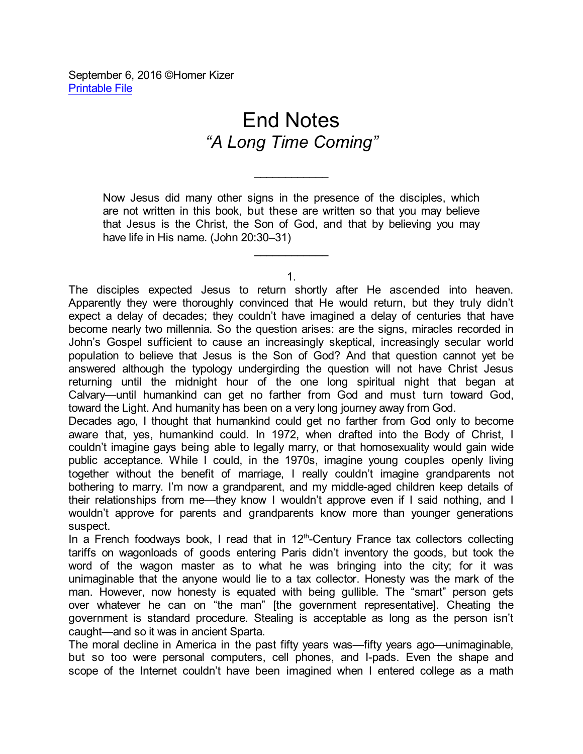September 6, 2016 ©Homer Kizer [Printable](http://homerkizer.net/09-06-16E.pdf) File

## End Notes *"A Long Time Coming"*

Now Jesus did many other signs in the presence of the disciples, which are not written in this book, but these are written so that you may believe that Jesus is the Christ, the Son of God, and that by believing you may have life in His name. (John 20:30–31)

 $\mathcal{L}_\text{max}$ 

1.

\_\_\_\_\_\_\_\_\_\_\_\_

The disciples expected Jesus to return shortly after He ascended into heaven. Apparently they were thoroughly convinced that He would return, but they truly didn't expect a delay of decades; they couldn't have imagined a delay of centuries that have become nearly two millennia. So the question arises: are the signs, miracles recorded in John's Gospel sufficient to cause an increasingly skeptical, increasingly secular world population to believe that Jesus is the Son of God? And that question cannot yet be answered although the typology undergirding the question will not have Christ Jesus returning until the midnight hour of the one long spiritual night that began at Calvary—until humankind can get no farther from God and must turn toward God, toward the Light. And humanity has been on a very long journey away from God.

Decades ago, I thought that humankind could get no farther from God only to become aware that, yes, humankind could. In 1972, when drafted into the Body of Christ, I couldn't imagine gays being able to legally marry, or that homosexuality would gain wide public acceptance. While I could, in the 1970s, imagine young couples openly living together without the benefit of marriage, I really couldn't imagine grandparents not bothering to marry. I'm now a grandparent, and my middle-aged children keep details of their relationships from me—they know I wouldn't approve even if I said nothing, and I wouldn't approve for parents and grandparents know more than younger generations suspect.

In a French foodways book, I read that in  $12<sup>th</sup>$ -Century France tax collectors collecting tariffs on wagonloads of goods entering Paris didn't inventory the goods, but took the word of the wagon master as to what he was bringing into the city; for it was unimaginable that the anyone would lie to a tax collector. Honesty was the mark of the man. However, now honesty is equated with being gullible. The "smart" person gets over whatever he can on "the man" [the government representative]. Cheating the government is standard procedure. Stealing is acceptable as long as the person isn't caught—and so it was in ancient Sparta.

The moral decline in America in the past fifty years was—fifty years ago—unimaginable, but so too were personal computers, cell phones, and I-pads. Even the shape and scope of the Internet couldn't have been imagined when I entered college as a math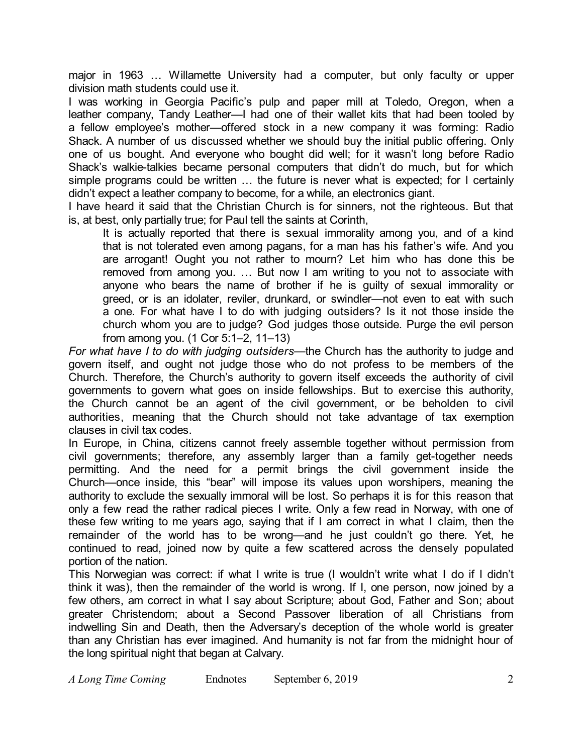major in 1963 … Willamette University had a computer, but only faculty or upper division math students could use it.

I was working in Georgia Pacific's pulp and paper mill at Toledo, Oregon, when a leather company, Tandy Leather—I had one of their wallet kits that had been tooled by a fellow employee's mother—offered stock in a new company it was forming: Radio Shack. A number of us discussed whether we should buy the initial public offering. Only one of us bought. And everyone who bought did well; for it wasn't long before Radio Shack's walkie-talkies became personal computers that didn't do much, but for which simple programs could be written … the future is never what is expected; for I certainly didn't expect a leather company to become, for a while, an electronics giant.

I have heard it said that the Christian Church is for sinners, not the righteous. But that is, at best, only partially true; for Paul tell the saints at Corinth,

It is actually reported that there is sexual immorality among you, and of a kind that is not tolerated even among pagans, for a man has his father's wife. And you are arrogant! Ought you not rather to mourn? Let him who has done this be removed from among you. … But now I am writing to you not to associate with anyone who bears the name of brother if he is guilty of sexual immorality or greed, or is an idolater, reviler, drunkard, or swindler—not even to eat with such a one. For what have I to do with judging outsiders? Is it not those inside the church whom you are to judge? God judges those outside. Purge the evil person from among you. (1 Cor 5:1–2, 11–13)

*For what have I to do with judging outsiders*—the Church has the authority to judge and govern itself, and ought not judge those who do not profess to be members of the Church. Therefore, the Church's authority to govern itself exceeds the authority of civil governments to govern what goes on inside fellowships. But to exercise this authority, the Church cannot be an agent of the civil government, or be beholden to civil authorities, meaning that the Church should not take advantage of tax exemption clauses in civil tax codes.

In Europe, in China, citizens cannot freely assemble together without permission from civil governments; therefore, any assembly larger than a family get-together needs permitting. And the need for a permit brings the civil government inside the Church—once inside, this "bear" will impose its values upon worshipers, meaning the authority to exclude the sexually immoral will be lost. So perhaps it is for this reason that only a few read the rather radical pieces I write. Only a few read in Norway, with one of these few writing to me years ago, saying that if I am correct in what I claim, then the remainder of the world has to be wrong—and he just couldn't go there. Yet, he continued to read, joined now by quite a few scattered across the densely populated portion of the nation.

This Norwegian was correct: if what I write is true (I wouldn't write what I do if I didn't think it was), then the remainder of the world is wrong. If I, one person, now joined by a few others, am correct in what I say about Scripture; about God, Father and Son; about greater Christendom; about a Second Passover liberation of all Christians from indwelling Sin and Death, then the Adversary's deception of the whole world is greater than any Christian has ever imagined. And humanity is not far from the midnight hour of the long spiritual night that began at Calvary.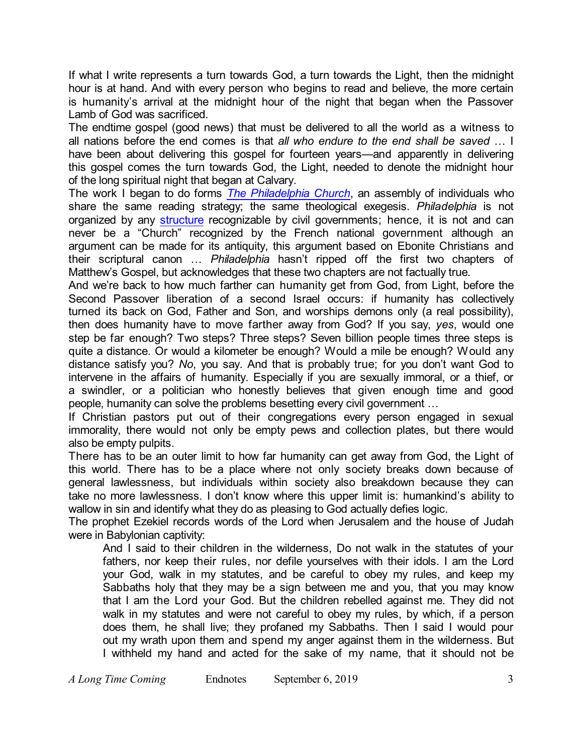If what I write represents a turn towards God, a turn towards the Light, then the midnight hour is at hand. And with every person who begins to read and believe, the more certain is humanity's arrival at the midnight hour of the night that began when the Passover Lamb of God was sacrificed.

The endtime gospel (good news) that must be delivered to all the world as a witness to all nations before the end comes is that *all who endure to the end shall be saved* … I have been about delivering this gospel for fourteen years—and apparently in delivering this gospel comes the turn towards God, the Light, needed to denote the midnight hour of the long spiritual night that began at Calvary.

The work I began to do forms *The [Philadelphia](http://thephiladelphiachurch.org/index.html) Church*, an assembly of individuals who share the same reading strategy; the same theological exegesis. *Philadelphia* is not organized by any [structure](http://thephiladelphiachurch.org/Constitution.html) recognizable by civil governments; hence, it is not and can never be a "Church" recognized by the French national government although an argument can be made for its antiquity, this argument based on Ebonite Christians and their scriptural canon … *Philadelphia* hasn't ripped off the first two chapters of Matthew's Gospel, but acknowledges that these two chapters are not factually true.

And we're back to how much farther can humanity get from God, from Light, before the Second Passover liberation of a second Israel occurs: if humanity has collectively turned its back on God, Father and Son, and worships demons only (a real possibility), then does humanity have to move farther away from God? If you say, *yes*, would one step be far enough? Two steps? Three steps? Seven billion people times three steps is quite a distance. Or would a kilometer be enough? Would a mile be enough? Would any distance satisfy you? *No*, you say. And that is probably true; for you don't want God to intervene in the affairs of humanity. Especially if you are sexually immoral, or a thief, or a swindler, or a politician who honestly believes that given enough time and good people, humanity can solve the problems besetting every civil government …

If Christian pastors put out of their congregations every person engaged in sexual immorality, there would not only be empty pews and collection plates, but there would also be empty pulpits.

There has to be an outer limit to how far humanity can get away from God, the Light of this world. There has to be a place where not only society breaks down because of general lawlessness, but individuals within society also breakdown because they can take no more lawlessness. I don't know where this upper limit is: humankind's ability to wallow in sin and identify what they do as pleasing to God actually defies logic.

The prophet Ezekiel records words of the Lord when Jerusalem and the house of Judah were in Babylonian captivity:

And I said to their children in the wilderness, Do not walk in the statutes of your fathers, nor keep their rules, nor defile yourselves with their idols. I am the Lord your God, walk in my statutes, and be careful to obey my rules, and keep my Sabbaths holy that they may be a sign between me and you, that you may know that I am the Lord your God. But the children rebelled against me. They did not walk in my statutes and were not careful to obey my rules, by which, if a person does them, he shall live; they profaned my Sabbaths. Then I said I would pour out my wrath upon them and spend my anger against them in the wilderness. But I withheld my hand and acted for the sake of my name, that it should not be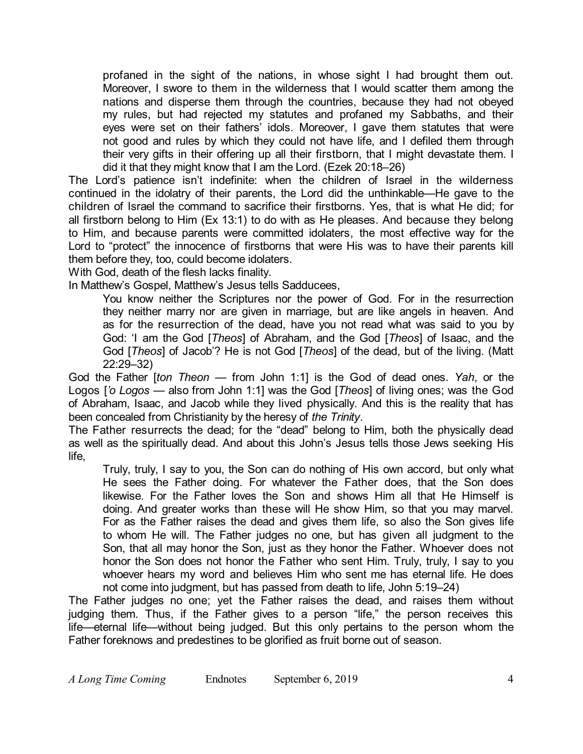profaned in the sight of the nations, in whose sight I had brought them out. Moreover, I swore to them in the wilderness that I would scatter them among the nations and disperse them through the countries, because they had not obeyed my rules, but had rejected my statutes and profaned my Sabbaths, and their eyes were set on their fathers' idols. Moreover, I gave them statutes that were not good and rules by which they could not have life, and I defiled them through their very gifts in their offering up all their firstborn, that I might devastate them. I did it that they might know that I am the Lord. (Ezek 20:18–26)

The Lord's patience isn't indefinite: when the children of Israel in the wilderness continued in the idolatry of their parents, the Lord did the unthinkable—He gave to the children of Israel the command to sacrifice their firstborns. Yes, that is what He did; for all firstborn belong to Him (Ex 13:1) to do with as He pleases. And because they belong to Him, and because parents were committed idolaters, the most effective way for the Lord to "protect" the innocence of firstborns that were His was to have their parents kill them before they, too, could become idolaters.

With God, death of the flesh lacks finality.

In Matthew's Gospel, Matthew's Jesus tells Sadducees,

You know neither the Scriptures nor the power of God. For in the resurrection they neither marry nor are given in marriage, but are like angels in heaven. And as for the resurrection of the dead, have you not read what was said to you by God: 'I am the God [*Theos*] of Abraham, and the God [*Theos*] of Isaac, and the God [*Theos*] of Jacob'? He is not God [*Theos*] of the dead, but of the living. (Matt 22:29–32)

God the Father [*ton Theon* — from John 1:1] is the God of dead ones. *Yah*, or the Logos [*'o Logos* — also from John 1:1] was the God [*Theos*] of living ones; was the God of Abraham, Isaac, and Jacob while they lived physically. And this is the reality that has been concealed from Christianity by the heresy of *the Trinity*.

The Father resurrects the dead; for the "dead" belong to Him, both the physically dead as well as the spiritually dead. And about this John's Jesus tells those Jews seeking His life,

Truly, truly, I say to you, the Son can do nothing of His own accord, but only what He sees the Father doing. For whatever the Father does, that the Son does likewise. For the Father loves the Son and shows Him all that He Himself is doing. And greater works than these will He show Him, so that you may marvel. For as the Father raises the dead and gives them life, so also the Son gives life to whom He will. The Father judges no one, but has given all judgment to the Son, that all may honor the Son, just as they honor the Father. Whoever does not honor the Son does not honor the Father who sent Him. Truly, truly, I say to you whoever hears my word and believes Him who sent me has eternal life. He does not come into judgment, but has passed from death to life, John 5:19–24)

The Father judges no one; yet the Father raises the dead, and raises them without judging them. Thus, if the Father gives to a person "life," the person receives this life—eternal life—without being judged. But this only pertains to the person whom the Father foreknows and predestines to be glorified as fruit borne out of season.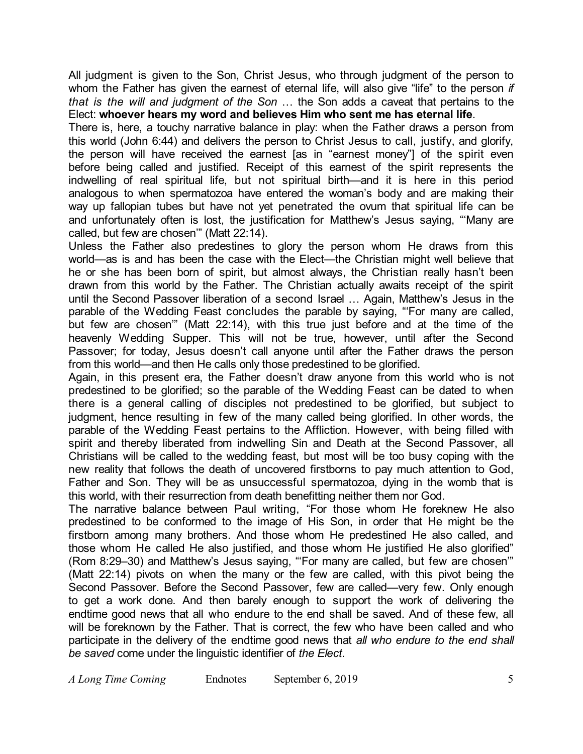All judgment is given to the Son, Christ Jesus, who through judgment of the person to whom the Father has given the earnest of eternal life, will also give "life" to the person *if that is the will and judgment of the Son* … the Son adds a caveat that pertains to the Elect: **whoever hears my word and believes Him who sent me has eternal life**.

There is, here, a touchy narrative balance in play: when the Father draws a person from this world (John 6:44) and delivers the person to Christ Jesus to call, justify, and glorify, the person will have received the earnest [as in "earnest money"] of the spirit even before being called and justified. Receipt of this earnest of the spirit represents the indwelling of real spiritual life, but not spiritual birth—and it is here in this period analogous to when spermatozoa have entered the woman's body and are making their way up fallopian tubes but have not yet penetrated the ovum that spiritual life can be and unfortunately often is lost, the justification for Matthew's Jesus saying, "'Many are called, but few are chosen'" (Matt 22:14).

Unless the Father also predestines to glory the person whom He draws from this world—as is and has been the case with the Elect—the Christian might well believe that he or she has been born of spirit, but almost always, the Christian really hasn't been drawn from this world by the Father. The Christian actually awaits receipt of the spirit until the Second Passover liberation of a second Israel … Again, Matthew's Jesus in the parable of the Wedding Feast concludes the parable by saying, "'For many are called, but few are chosen'" (Matt 22:14), with this true just before and at the time of the heavenly Wedding Supper. This will not be true, however, until after the Second Passover; for today, Jesus doesn't call anyone until after the Father draws the person from this world—and then He calls only those predestined to be glorified.

Again, in this present era, the Father doesn't draw anyone from this world who is not predestined to be glorified; so the parable of the Wedding Feast can be dated to when there is a general calling of disciples not predestined to be glorified, but subject to judgment, hence resulting in few of the many called being glorified. In other words, the parable of the Wedding Feast pertains to the Affliction. However, with being filled with spirit and thereby liberated from indwelling Sin and Death at the Second Passover, all Christians will be called to the wedding feast, but most will be too busy coping with the new reality that follows the death of uncovered firstborns to pay much attention to God, Father and Son. They will be as unsuccessful spermatozoa, dying in the womb that is this world, with their resurrection from death benefitting neither them nor God.

The narrative balance between Paul writing, "For those whom He foreknew He also predestined to be conformed to the image of His Son, in order that He might be the firstborn among many brothers. And those whom He predestined He also called, and those whom He called He also justified, and those whom He justified He also glorified" (Rom 8:29–30) and Matthew's Jesus saying, "'For many are called, but few are chosen'" (Matt 22:14) pivots on when the many or the few are called, with this pivot being the Second Passover. Before the Second Passover, few are called—very few. Only enough to get a work done. And then barely enough to support the work of delivering the endtime good news that all who endure to the end shall be saved. And of these few, all will be foreknown by the Father. That is correct, the few who have been called and who participate in the delivery of the endtime good news that *all who endure to the end shall be saved* come under the linguistic identifier of *the Elect*.

*A Long Time Coming* Endnotes September 6, 2019 5